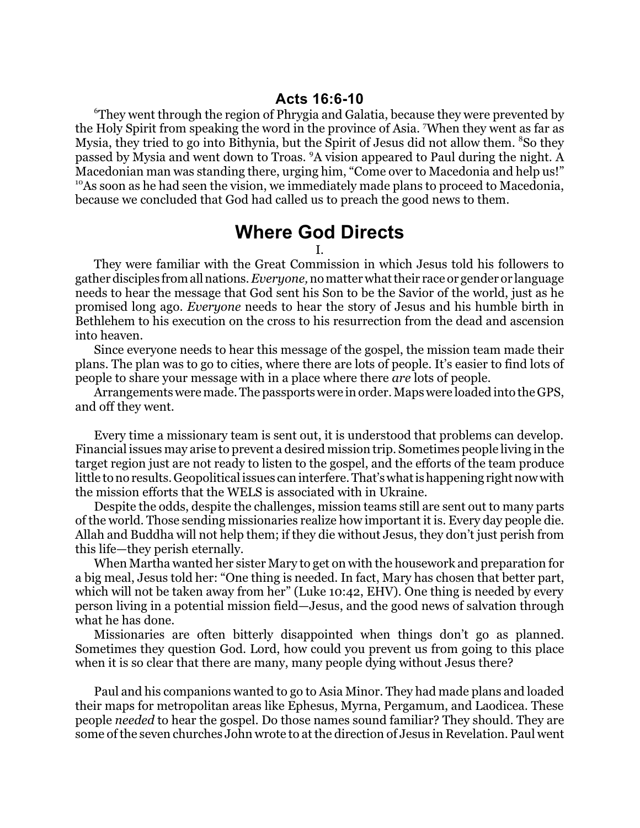<sup>6</sup>They went through the region of Phrygia and Galatia, because they were prevented by the Holy Spirit from speaking the word in the province of Asia. <sup>7</sup>When they went as far as Mysia, they tried to go into Bithynia, but the Spirit of Jesus did not allow them. <sup>8</sup>So they passed by Mysia and went down to Troas. <sup>9</sup>A vision appeared to Paul during the night. A Macedonian man was standing there, urging him, "Come over to Macedonia and help us!" <sup>10</sup>As soon as he had seen the vision, we immediately made plans to proceed to Macedonia, because we concluded that God had called us to preach the good news to them.

## **Where God Directs**

I.

They were familiar with the Great Commission in which Jesus told his followers to gatherdisciples fromallnations. *Everyone,*no matter what their race or gender or language needs to hear the message that God sent his Son to be the Savior of the world, just as he promised long ago. *Everyone* needs to hear the story of Jesus and his humble birth in Bethlehem to his execution on the cross to his resurrection from the dead and ascension into heaven.

Since everyone needs to hear this message of the gospel, the mission team made their plans. The plan was to go to cities, where there are lots of people. It's easier to find lots of people to share your message with in a place where there *are* lots of people.

Arrangements were made. The passports were in order. Maps were loaded into the GPS, and off they went.

Every time a missionary team is sent out, it is understood that problems can develop. Financial issues may arise to prevent a desired mission trip. Sometimes people living in the target region just are not ready to listen to the gospel, and the efforts of the team produce little to no results. Geopolitical issues can interfere.That'swhatishappening right now with the mission efforts that the WELS is associated with in Ukraine.

Despite the odds, despite the challenges, mission teams still are sent out to many parts of the world. Those sending missionaries realize how important it is. Every day people die. Allah and Buddha will not help them; if they die without Jesus, they don't just perish from this life—they perish eternally.

When Martha wanted her sister Mary to get on with the housework and preparation for a big meal, Jesus told her: "One thing is needed. In fact, Mary has chosen that better part, which will not be taken away from her" (Luke 10:42, EHV). One thing is needed by every person living in a potential mission field—Jesus, and the good news of salvation through what he has done.

Missionaries are often bitterly disappointed when things don't go as planned. Sometimes they question God. Lord, how could you prevent us from going to this place when it is so clear that there are many, many people dying without Jesus there?

Paul and his companions wanted to go to Asia Minor. They had made plans and loaded their maps for metropolitan areas like Ephesus, Myrna, Pergamum, and Laodicea. These people *needed* to hear the gospel. Do those names sound familiar? They should. They are some of the seven churches John wrote to at the direction of Jesus in Revelation. Paul went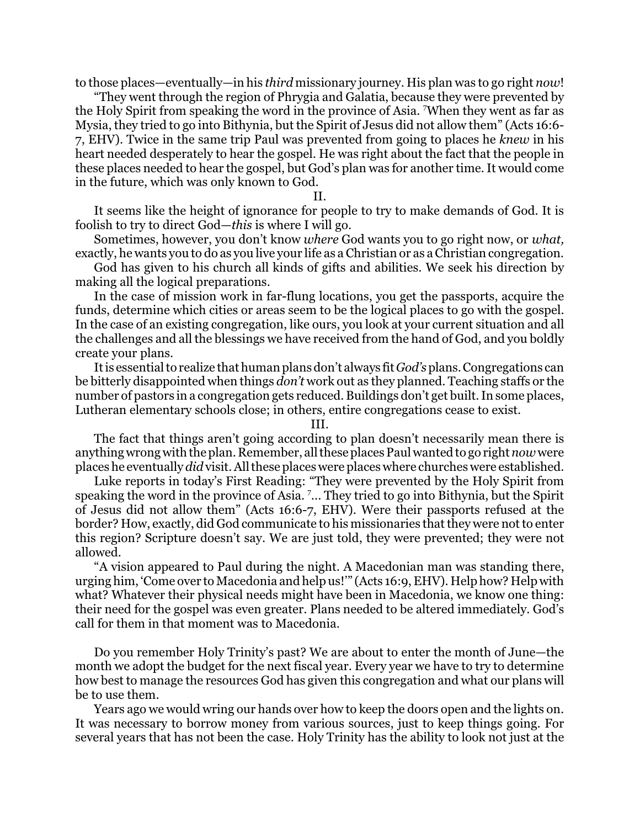to those places—eventually—in his *third* missionary journey. His plan was to go right *now*!

"They went through the region of Phrygia and Galatia, because they were prevented by the Holy Spirit from speaking the word in the province of Asia. <sup>7</sup>When they went as far as Mysia, they tried to go into Bithynia, but the Spirit of Jesus did not allow them" (Acts 16:6- 7, EHV). Twice in the same trip Paul was prevented from going to places he *knew* in his heart needed desperately to hear the gospel. He was right about the fact that the people in these places needed to hear the gospel, but God's plan was for another time. It would come in the future, which was only known to God.

II.

It seems like the height of ignorance for people to try to make demands of God. It is foolish to try to direct God—*this* is where I will go.

Sometimes, however, you don't know *where* God wants you to go right now, or *what,* exactly, he wants you to do as you live your life as a Christian or as a Christian congregation.

God has given to his church all kinds of gifts and abilities. We seek his direction by making all the logical preparations.

In the case of mission work in far-flung locations, you get the passports, acquire the funds, determine which cities or areas seem to be the logical places to go with the gospel. In the case of an existing congregation, like ours, you look at your current situation and all the challenges and all the blessings we have received from the hand of God, and you boldly create your plans.

It is essential to realize that human plans don't always fit*God's*plans.Congregations can be bitterly disappointed when things *don't* work out as they planned. Teaching staffs or the number of pastors in a congregation gets reduced. Buildings don't get built. In some places, Lutheran elementary schools close; in others, entire congregations cease to exist.

III.

The fact that things aren't going according to plan doesn't necessarily mean there is anything wrong with the plan. Remember, all these places Paul wanted to go right *now*were places he eventually *did*visit. All these places were places where churches were established.

Luke reports in today's First Reading: "They were prevented by the Holy Spirit from speaking the word in the province of Asia. <sup>7</sup>... They tried to go into Bithynia, but the Spirit of Jesus did not allow them" (Acts 16:6-7, EHV). Were their passports refused at the border? How, exactly, did God communicate to his missionaries that they were not to enter this region? Scripture doesn't say. We are just told, they were prevented; they were not allowed.

"A vision appeared to Paul during the night. A Macedonian man was standing there, urging him, 'Come over to Macedonia and help us!'" (Acts 16:9, EHV). Help how? Help with what? Whatever their physical needs might have been in Macedonia, we know one thing: their need for the gospel was even greater. Plans needed to be altered immediately. God's call for them in that moment was to Macedonia.

Do you remember Holy Trinity's past? We are about to enter the month of June—the month we adopt the budget for the next fiscal year. Every year we have to try to determine how best to manage the resources God has given this congregation and what our plans will be to use them.

Years ago we would wring our hands over how to keep the doors open and the lights on. It was necessary to borrow money from various sources, just to keep things going. For several years that has not been the case. Holy Trinity has the ability to look not just at the